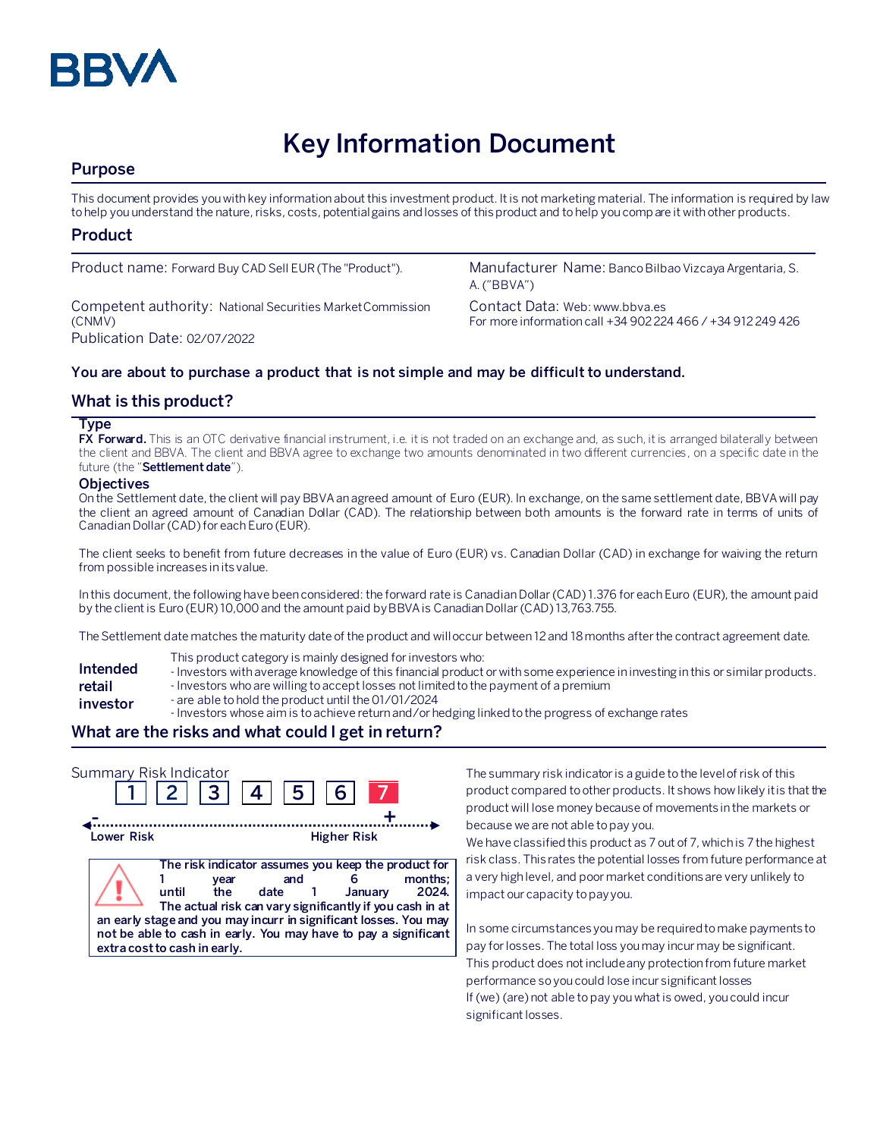

# **Key Information Document**

## **Purpose**

This document provides you with key information about this investment product. It is not marketing material. The information is required by law to help you understand the nature, risks, costs, potential gains and losses of this product and to help you compare it with other products.

### **Product**

Competent authority: National Securities Market Commission (CNMV) Publication Date: 02/07/2022

Product name: Forward Buy CAD Sell EUR (The "Product"). Manufacturer Name: Banco Bilbao Vizcaya Argentaria, S. A. ("BBVA")

> Contact Data: Web: www.bbva.es For more information call +34 902 224 466 / +34 912 249 426

#### **You are about to purchase a product that is not simple and may be difficult to understand.**

### **What is this product?**

#### **Type**

**FX Forward.** This is an OTC derivative financial instrument, i.e. it is not traded on an exchange and, as such, it is arranged bilaterally between the client and BBVA. The client and BBVA agree to exchange two amounts denominated in two different currencies, on a specific date in the future (the "**Settlement date**").

#### **Objectives**

On the Settlement date, the client will pay BBVA an agreed amount of Euro (EUR). In exchange, on the same settlement date, BBVA will pay the client an agreed amount of Canadian Dollar (CAD). The relationship between both amounts is the forward rate in terms of units of Canadian Dollar (CAD) for each Euro (EUR).

The client seeks to benefit from future decreases in the value of Euro (EUR) vs. Canadian Dollar (CAD) in exchange for waiving the return from possible increases in its value.

In this document, the following have been considered: the forward rate is Canadian Dollar(CAD) 1.376 for each Euro (EUR), the amount paid by the client is Euro (EUR) 10,000 and the amount paid by BBVA is Canadian Dollar(CAD) 13,763.755.

The Settlement date matches the maturity date of the product and will occur between 12 and 18 months after the contract agreement date.

- This product category is mainly designed for investors who:
- **Intended**  - Investors with average knowledge of this financial product or with some experience in investing in this or similar products.
- **retail**  - Investors who are willing to accept losses not limited to the payment of a premium
- **investor** - are able to hold the product until the 01/01/2024
	- Investors whose aim is to achieve return and/or hedging linked to the progress of exchange rates

## **What are the risks and what could I get in return?**

| Summary Risk Indicator | 2  3  4                                              | 5                                                                                                                                                                                                                                                                       | 6 <sup>1</sup>     |                  |
|------------------------|------------------------------------------------------|-------------------------------------------------------------------------------------------------------------------------------------------------------------------------------------------------------------------------------------------------------------------------|--------------------|------------------|
| Lower Risk             |                                                      |                                                                                                                                                                                                                                                                         | <b>Higher Risk</b> |                  |
|                        | vear<br>the<br>until<br>extra cost to cash in early. | The risk indicator assumes you keep the product for<br>and<br>date 1<br>The actual risk can vary significantly if you cash in at<br>an early stage and you may incurr in significant losses. You may<br>not be able to cash in early. You may have to pay a significant | January            | months:<br>2024. |

The summary risk indicator is a guide to the level of risk of this product compared to other products. It shows how likely it is that the product will lose money because of movements in the markets or because we are not able to pay you.

We have classified this product as 7 out of 7, which is 7 the highest risk class. This rates the potential losses from future performance at a very high level, and poor market conditions are very unlikely to impact our capacity to pay you.

In some circumstances you may be required to make payments to pay for losses. The total loss you may incur may be significant. This product does not include any protection from future market performance so you could lose incur significant losses If (we) (are) not able to pay you what is owed, you could incur significant losses.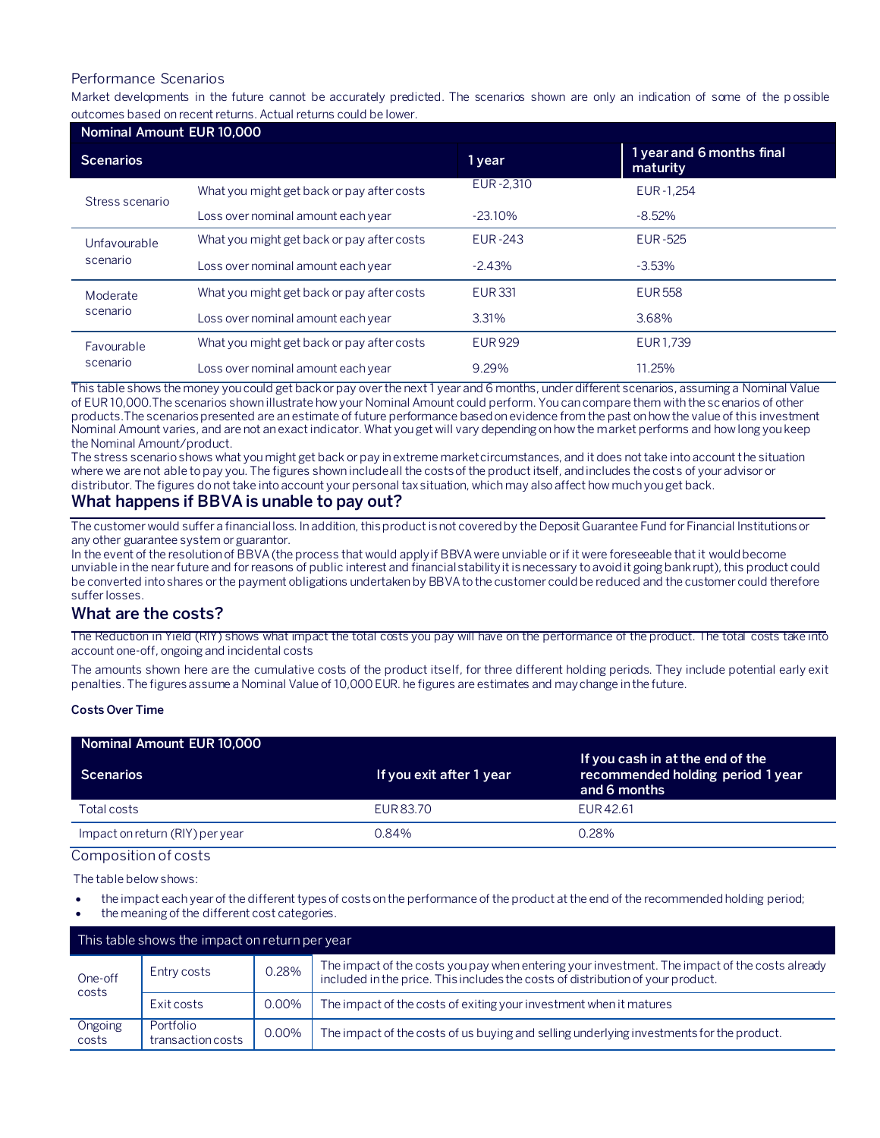### Performance Scenarios

Market developments in the future cannot be accurately predicted. The scenarios shown are only an indication of some of the p ossible outcomes based on recent returns. Actual returns could be lower.

| Nominal Amount EUR 10,000 |                                            |                |                                       |
|---------------------------|--------------------------------------------|----------------|---------------------------------------|
| <b>Scenarios</b>          |                                            | 1 year         | 1 year and 6 months final<br>maturity |
| Stress scenario           | What you might get back or pay after costs | EUR-2,310      | EUR-1.254                             |
|                           | Loss over nominal amount each year         | $-23.10\%$     | $-8.52\%$                             |
| Unfavourable<br>scenario  | What you might get back or pay after costs | <b>EUR-243</b> | <b>EUR-525</b>                        |
|                           | Loss over nominal amount each year         | $-2.43%$       | $-3.53\%$                             |
| Moderate<br>scenario      | What you might get back or pay after costs | <b>EUR331</b>  | <b>EUR558</b>                         |
|                           | Loss over nominal amount each year         | 3.31%          | 3.68%                                 |
| Favourable<br>scenario    | What you might get back or pay after costs | <b>EUR929</b>  | EUR1.739                              |
|                           | Loss over nominal amount each year         | 9.29%          | 11.25%                                |

This table shows the money you could get back or pay over the next 1 year and 6 months, under different scenarios, assuming a Nominal Value of EUR 10,000.The scenarios shown illustrate how your Nominal Amount could perform. You can compare them with the scenarios of other products.The scenarios presented are an estimate of future performance based on evidence from the past on how the value of this investment Nominal Amount varies, and are not an exact indicator. What you get will vary depending on how the market performs and how long you keep the Nominal Amount/product.

The stress scenario shows what you might get back or pay in extreme market circumstances, and it does not take into account the situation where we are not able to pay you. The figures shown include all the costs of the product itself, and includes the costs of your advisor or distributor. The figures do not take into account your personal tax situation, which may also affect how much you get back.

# **What happens if BBVA is unable to pay out?**

The customer would suffer a financial loss. In addition, this product is not covered by the Deposit Guarantee Fund for Financial Institutions or any other guarantee system or guarantor.

In the event of the resolution of BBVA (the process that would apply if BBVA were unviable or if it were foreseeable that it would become unviable in the near future and for reasons of public interest and financial stability it is necessary to avoid it going bankrupt), this product could be converted into shares or the payment obligations undertaken by BBVA to the customer could be reduced and the customer could therefore suffer losses.

#### **What are the costs?**

The Reduction in Yield (RIY) shows what impact the total costs you pay will have on the performance of the product. The total costs take into account one-off, ongoing and incidental costs

The amounts shown here are the cumulative costs of the product itself, for three different holding periods. They include potential early exit penalties. The figures assume a Nominal Value of 10,000 EUR. he figures are estimates and may change in the future.

#### **Costs Over Time**

| Nominal Amount EUR 10,000       |                          |                                                                                       |
|---------------------------------|--------------------------|---------------------------------------------------------------------------------------|
| Scenarios                       | If you exit after 1 year | If you cash in at the end of the<br>recommended holding period 1 year<br>and 6 months |
| Total costs                     | EUR 83.70                | EUR <sub>42.61</sub>                                                                  |
| Impact on return (RIY) per year | 0.84%                    | 0.28%                                                                                 |

# Composition of costs

The table below shows:

- the impact each year of the different types of costs on the performance of the product at the end of the recommended holding period;
- the meaning of the different cost categories.

| This table shows the impact on return per year |                                |          |                                                                                                                                                                                   |
|------------------------------------------------|--------------------------------|----------|-----------------------------------------------------------------------------------------------------------------------------------------------------------------------------------|
| One-off<br>costs                               | Entry costs                    | 0.28%    | The impact of the costs you pay when entering your investment. The impact of the costs already<br>included in the price. This includes the costs of distribution of your product. |
|                                                | Exit costs                     | 0.00%    | The impact of the costs of exiting your investment when it matures                                                                                                                |
| Ongoing<br>costs                               | Portfolio<br>transaction costs | $0.00\%$ | The impact of the costs of us buying and selling underlying investments for the product.                                                                                          |